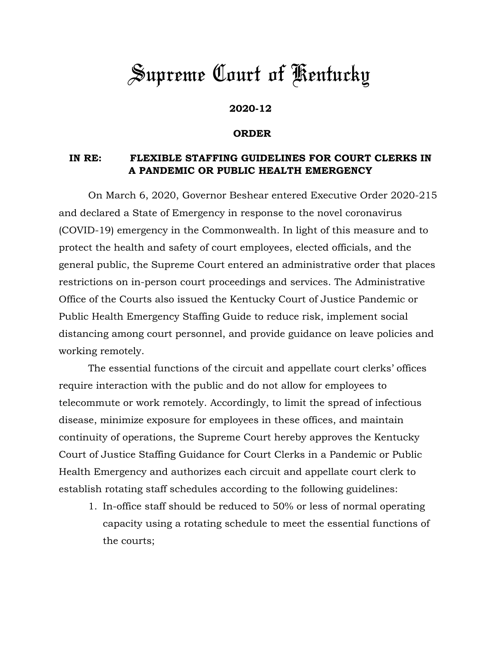## *Supreme Court of Kentucky*

## **2020-12**

## **ORDER**

## **IN RE: FLEXIBLE STAFFING GUIDELINES FOR COURT CLERKS IN A PANDEMIC OR PUBLIC HEALTH EMERGENCY**

On March 6, 2020, Governor Beshear entered Executive Order 2020-215 and declared a State of Emergency in response to the novel coronavirus (COVID-19) emergency in the Commonwealth. In light of this measure and to protect the health and safety of court employees, elected officials, and the general public, the Supreme Court entered an administrative order that places restrictions on in-person court proceedings and services. The Administrative Office of the Courts also issued the Kentucky Court of Justice Pandemic or Public Health Emergency Staffing Guide to reduce risk, implement social distancing among court personnel, and provide guidance on leave policies and working remotely.

The essential functions of the circuit and appellate court clerks' offices require interaction with the public and do not allow for employees to telecommute or work remotely. Accordingly, to limit the spread of infectious disease, minimize exposure for employees in these offices, and maintain continuity of operations, the Supreme Court hereby approves the Kentucky Court of Justice Staffing Guidance for Court Clerks in a Pandemic or Public Health Emergency and authorizes each circuit and appellate court clerk to establish rotating staff schedules according to the following guidelines:

1. In-office staff should be reduced to 50% or less of normal operating capacity using a rotating schedule to meet the essential functions of the courts;